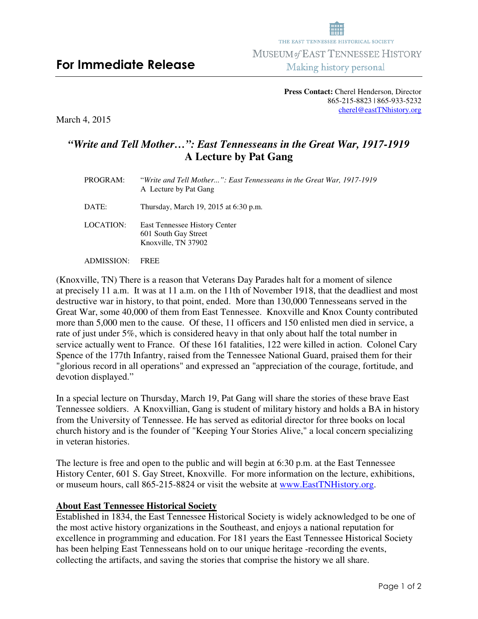## **Press Contact:** Cherel Henderson, Director 865-215-8823 | 865-933-5232 cherel@eastTNhistory.org

March 4, 2015

## *"Write and Tell Mother…": East Tennesseans in the Great War, 1917-1919*  **A Lecture by Pat Gang**

| PROGRAM:   | "Write and Tell Mother": East Tennesseans in the Great War, 1917-1919<br>A Lecture by Pat Gang |
|------------|------------------------------------------------------------------------------------------------|
| DATE:      | Thursday, March 19, 2015 at 6:30 p.m.                                                          |
| LOCATION:  | East Tennessee History Center<br>601 South Gay Street<br>Knoxville, TN 37902                   |
| ADMISSION· | FREE                                                                                           |

(Knoxville, TN) There is a reason that Veterans Day Parades halt for a moment of silence at precisely 11 a.m. It was at 11 a.m. on the 11th of November 1918, that the deadliest and most destructive war in history, to that point, ended. More than 130,000 Tennesseans served in the Great War, some 40,000 of them from East Tennessee. Knoxville and Knox County contributed more than 5,000 men to the cause. Of these, 11 officers and 150 enlisted men died in service, a rate of just under 5%, which is considered heavy in that only about half the total number in service actually went to France. Of these 161 fatalities, 122 were killed in action. Colonel Cary Spence of the 177th Infantry, raised from the Tennessee National Guard, praised them for their "glorious record in all operations" and expressed an "appreciation of the courage, fortitude, and devotion displayed."

In a special lecture on Thursday, March 19, Pat Gang will share the stories of these brave East Tennessee soldiers. A Knoxvillian, Gang is student of military history and holds a BA in history from the University of Tennessee. He has served as editorial director for three books on local church history and is the founder of "Keeping Your Stories Alive," a local concern specializing in veteran histories.

The lecture is free and open to the public and will begin at 6:30 p.m. at the East Tennessee History Center, 601 S. Gay Street, Knoxville. For more information on the lecture, exhibitions, or museum hours, call 865-215-8824 or visit the website at www.EastTNHistory.org.

## **About East Tennessee Historical Society**

Established in 1834, the East Tennessee Historical Society is widely acknowledged to be one of the most active history organizations in the Southeast, and enjoys a national reputation for excellence in programming and education. For 181 years the East Tennessee Historical Society has been helping East Tennesseans hold on to our unique heritage -recording the events, collecting the artifacts, and saving the stories that comprise the history we all share.